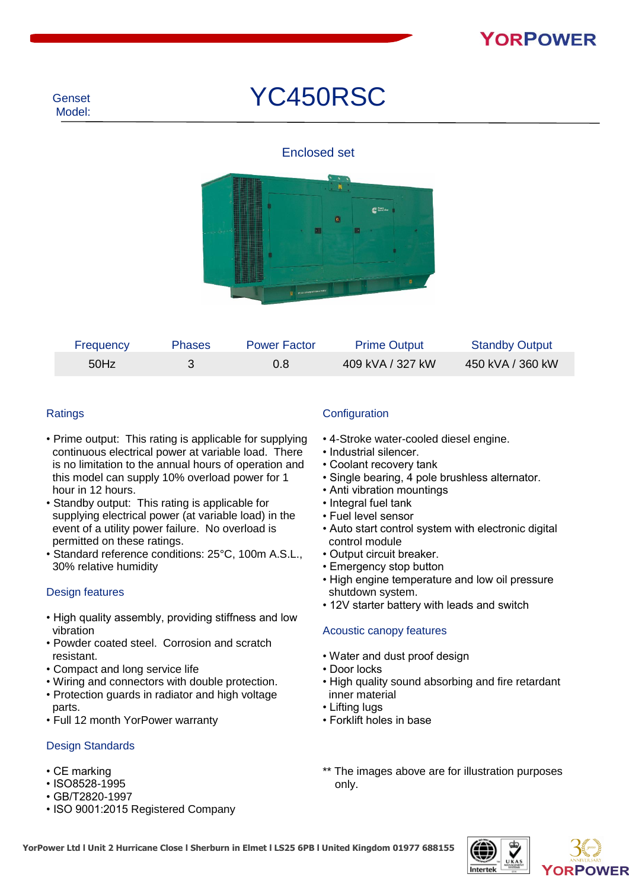# YC450RSC

#### Enclosed set



| Frequency | <b>Phases</b> | <b>Power Factor</b> | <b>Prime Output</b> | <b>Standby Output</b> |
|-----------|---------------|---------------------|---------------------|-----------------------|
| 50Hz      |               | 0.8                 | 409 kVA / 327 kW    | 450 kVA / 360 kW      |

#### **Ratings**

- Prime output: This rating is applicable for supplying continuous electrical power at variable load. There is no limitation to the annual hours of operation and this model can supply 10% overload power for 1 hour in 12 hours.
- Standby output: This rating is applicable for supplying electrical power (at variable load) in the event of a utility power failure. No overload is permitted on these ratings.
- Standard reference conditions: 25°C, 100m A.S.L., 30% relative humidity

#### Design features

- High quality assembly, providing stiffness and low vibration
- Powder coated steel. Corrosion and scratch resistant.
- Compact and long service life
- Wiring and connectors with double protection.
- Protection guards in radiator and high voltage parts.
- Full 12 month YorPower warranty

#### Design Standards

- CE marking
- ISO8528-1995
- GB/T2820-1997
- ISO 9001:2015 Registered Company

#### **Configuration**

- 4-Stroke water-cooled diesel engine.
- Industrial silencer.
- Coolant recovery tank
- Single bearing, 4 pole brushless alternator.
- Anti vibration mountings
- Integral fuel tank
- Fuel level sensor
- Auto start control system with electronic digital control module
- Output circuit breaker.
- Emergency stop button
- High engine temperature and low oil pressure shutdown system.
- 12V starter battery with leads and switch

#### Acoustic canopy features

- Water and dust proof design
- Door locks
- High quality sound absorbing and fire retardant inner material
- Lifting lugs
- Forklift holes in base
- \*\* The images above are for illustration purposes only.